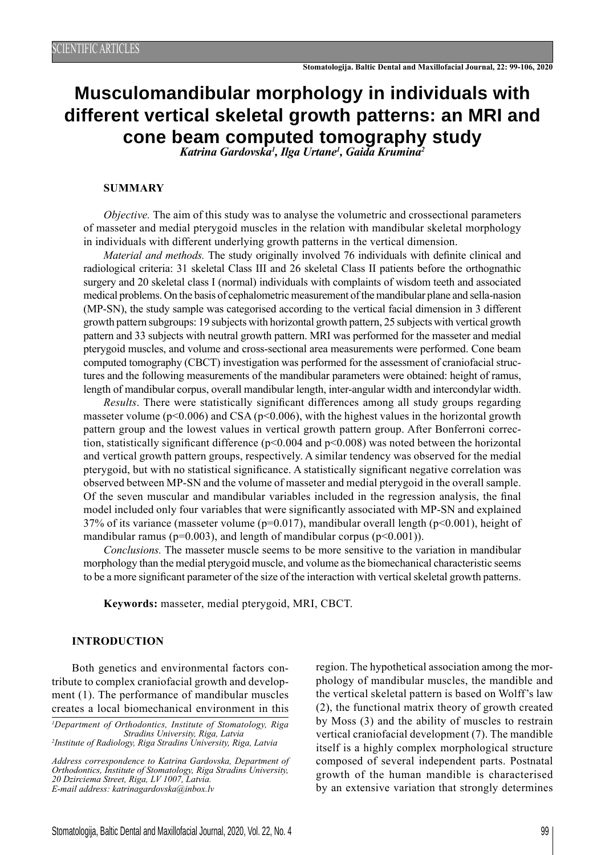# **Musculomandibular morphology in individuals with different vertical skeletal growth patterns: an MRI and cone beam computed tomography study** *Katrina Gardovska1 , Ilga Urtane1 , Gaida Krumina2*

#### **SUMMARY**

*Objective.* The aim of this study was to analyse the volumetric and crossectional parameters of masseter and medial pterygoid muscles in the relation with mandibular skeletal morphology in individuals with different underlying growth patterns in the vertical dimension.

*Material and methods.* The study originally involved 76 individuals with definite clinical and radiological criteria: 31 skeletal Class III and 26 skeletal Class II patients before the orthognathic surgery and 20 skeletal class I (normal) individuals with complaints of wisdom teeth and associated medical problems. On the basis of cephalometric measurement of the mandibular plane and sella-nasion (MP-SN), the study sample was categorised according to the vertical facial dimension in 3 different growth pattern subgroups: 19 subjects with horizontal growth pattern, 25 subjects with vertical growth pattern and 33 subjects with neutral growth pattern. MRI was performed for the masseter and medial pterygoid muscles, and volume and cross-sectional area measurements were performed. Cone beam computed tomography (CBCT) investigation was performed for the assessment of craniofacial structures and the following measurements of the mandibular parameters were obtained: height of ramus, length of mandibular corpus, overall mandibular length, inter-angular width and intercondylar width.

*Results*. There were statistically significant differences among all study groups regarding masseter volume ( $p<0.006$ ) and CSA ( $p<0.006$ ), with the highest values in the horizontal growth pattern group and the lowest values in vertical growth pattern group. After Bonferroni correction, statistically significant difference ( $p<0.004$  and  $p<0.008$ ) was noted between the horizontal and vertical growth pattern groups, respectively. A similar tendency was observed for the medial pterygoid, but with no statistical significance. A statistically significant negative correlation was observed between MP-SN and the volume of masseter and medial pterygoid in the overall sample. Of the seven muscular and mandibular variables included in the regression analysis, the final model included only four variables that were significantly associated with MP-SN and explained 37% of its variance (masseter volume ( $p=0.017$ ), mandibular overall length ( $p<0.001$ ), height of mandibular ramus ( $p=0.003$ ), and length of mandibular corpus ( $p<0.001$ )).

*Conclusions.* The masseter muscle seems to be more sensitive to the variation in mandibular morphology than the medial pterygoid muscle, and volume as the biomechanical characteristic seems to be a more significant parameter of the size of the interaction with vertical skeletal growth patterns.

**Keywords:** masseter, medial pterygoid, MRI, CBCT.

#### **INTRODUCTION**

Both genetics and environmental factors contribute to complex craniofacial growth and development (1). The performance of mandibular muscles creates a local biomechanical environment in this

*Address correspondence to Katrina Gardovska, Department of Orthodontics, Institute of Stomatology, Riga Stradins University, 20 Dzirciema Street, Riga, LV 1007, Latvia. E-mail address: katrinagardovska@inbox.lv*

region. The hypothetical association among the morphology of mandibular muscles, the mandible and the vertical skeletal pattern is based on Wolff's law (2), the functional matrix theory of growth created by Moss (3) and the ability of muscles to restrain vertical craniofacial development (7). The mandible itself is a highly complex morphological structure composed of several independent parts. Postnatal growth of the human mandible is characterised by an extensive variation that strongly determines

*<sup>1</sup> Department of Orthodontics, Institute of Stomatology, Riga Stradins University, Riga, Latvia 2 Institute of Radiology, Riga Stradins University, Riga, Latvia*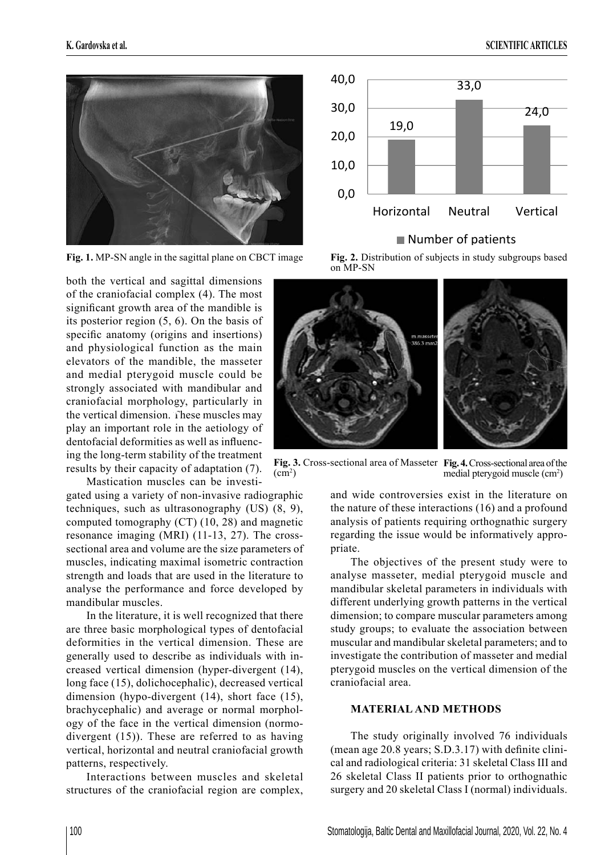

both the vertical and sagittal dimensions of the craniofacial complex (4). The most significant growth area of the mandible is its posterior region (5, 6). On the basis of specific anatomy (origins and insertions) and physiological function as the main elevators of the mandible, the masseter and medial pterygoid muscle could be strongly associated with mandibular and craniofacial morphology, particularly in the vertical dimension. These muscles may **A** play an important role in the aetiology of dentofacial deformities as well as influencing the long-term stability of the treatment results by their capacity of adaptation (7).

Mastication muscles can be investigated using a variety of non-invasive radiographic techniques, such as ultrasonography (US) (8, 9), computed tomography (CT) (10, 28) and magnetic resonance imaging (MRI) (11-13, 27). The crosssectional area and volume are the size parameters of muscles, indicating maximal isometric contraction strength and loads that are used in the literature to analyse the performance and force developed by mandibular muscles.

In the literature, it is well recognized that there are three basic morphological types of dentofacial deformities in the vertical dimension. These are generally used to describe as individuals with increased vertical dimension (hyper-divergent (14), long face (15), dolichocephalic), decreased vertical dimension (hypo-divergent (14), short face (15), brachycephalic) and average or normal morphology of the face in the vertical dimension (normodivergent (15)). These are referred to as having vertical, horizontal and neutral craniofacial growth patterns, respectively.

Interactions between muscles and skeletal structures of the craniofacial region are complex,



## Number of patients







and wide controversies exist in the literature on the nature of these interactions (16) and a profound analysis of patients requiring orthognathic surgery regarding the issue would be informatively appropriate.

The objectives of the present study were to analyse masseter, medial pterygoid muscle and mandibular skeletal parameters in individuals with different underlying growth patterns in the vertical dimension; to compare muscular parameters among study groups; to evaluate the association between muscular and mandibular skeletal parameters; and to investigate the contribution of masseter and medial pterygoid muscles on the vertical dimension of the craniofacial area.

## **MATERIAL AND METHODS**

The study originally involved 76 individuals (mean age  $20.8$  years; S.D.3.17) with definite clinical and radiological criteria: 31 skeletal Class III and 26 skeletal Class II patients prior to orthognathic surgery and 20 skeletal Class I (normal) individuals.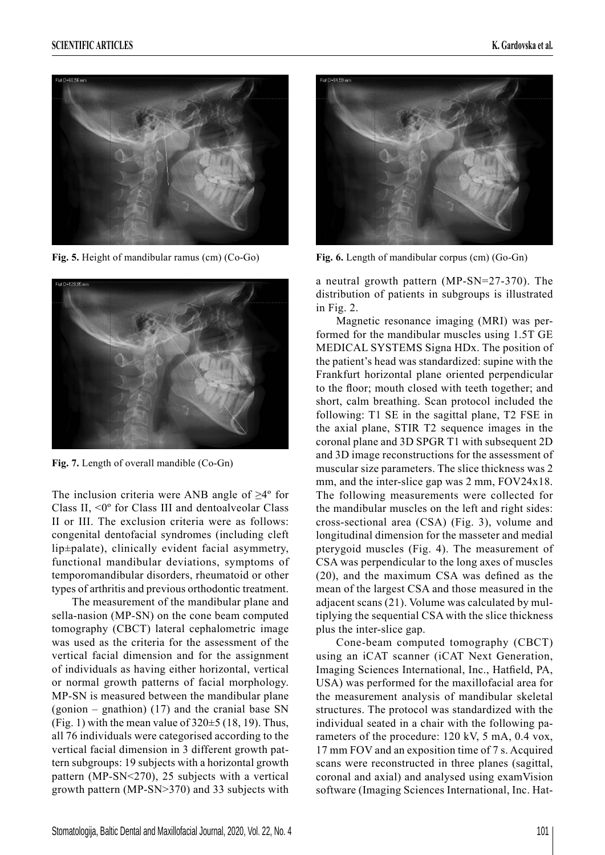



**Fig. 7.** Length of overall mandible (Co-Gn)

The inclusion criteria were ANB angle of  $\geq 4^{\circ}$  for Class II, <0º for Class III and dentoalveolar Class II or III. The exclusion criteria were as follows: congenital dentofacial syndromes (including cleft lip±palate), clinically evident facial asymmetry, functional mandibular deviations, symptoms of temporomandibular disorders, rheumatoid or other types of arthritis and previous orthodontic treatment.

The measurement of the mandibular plane and sella-nasion (MP-SN) on the cone beam computed tomography (CBCT) lateral cephalometric image was used as the criteria for the assessment of the vertical facial dimension and for the assignment of individuals as having either horizontal, vertical or normal growth patterns of facial morphology. MP-SN is measured between the mandibular plane (gonion – gnathion) (17) and the cranial base SN (Fig. 1) with the mean value of  $320\pm5$  (18, 19). Thus, all 76 individuals were categorised according to the vertical facial dimension in 3 different growth pattern subgroups: 19 subjects with a horizontal growth pattern (MP-SN<270), 25 subjects with a vertical growth pattern (MP-SN>370) and 33 subjects with



**Fig. 5.** Height of mandibular ramus (cm) (Co-Go) **Fig. 6.** Length of mandibular corpus (cm) (Go-Gn)

a neutral growth pattern (MP-SN=27-370). The distribution of patients in subgroups is illustrated in Fig. 2.

Magnetic resonance imaging (MRI) was performed for the mandibular muscles using 1.5T GE MEDICAL SYSTEMS Signa HDx. The position of the patient's head was standardized: supine with the Frankfurt horizontal plane oriented perpendicular to the floor; mouth closed with teeth together; and short, calm breathing. Scan protocol included the following: T1 SE in the sagittal plane, T2 FSE in the axial plane, STIR T2 sequence images in the coronal plane and 3D SPGR T1 with subsequent 2D and 3D image reconstructions for the assessment of muscular size parameters. The slice thickness was 2 mm, and the inter-slice gap was 2 mm, FOV24x18. The following measurements were collected for the mandibular muscles on the left and right sides: cross-sectional area (CSA) (Fig. 3), volume and longitudinal dimension for the masseter and medial pterygoid muscles (Fig. 4). The measurement of CSA was perpendicular to the long axes of muscles  $(20)$ , and the maximum CSA was defined as the mean of the largest CSA and those measured in the adjacent scans (21). Volume was calculated by multiplying the sequential CSA with the slice thickness plus the inter-slice gap.

Cone-beam computed tomography (CBCT) using an iCAT scanner (iCAT Next Generation, Imaging Sciences International, Inc., Hatfield, PA, USA) was performed for the maxillofacial area for the measurement analysis of mandibular skeletal structures. The protocol was standardized with the individual seated in a chair with the following parameters of the procedure: 120 kV, 5 mA, 0.4 vox, 17 mm FOV and an exposition time of 7 s. Acquired scans were reconstructed in three planes (sagittal, coronal and axial) and analysed using examVision software (Imaging Sciences International, Inc. Hat-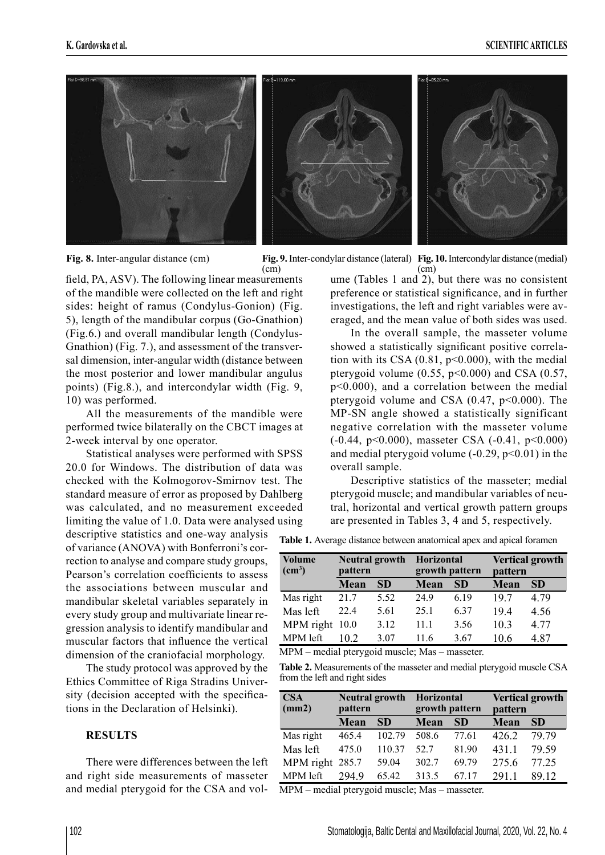

**Fig. 8.** Inter-angular distance (cm)



field, PA, ASV). The following linear measurements of the mandible were collected on the left and right sides: height of ramus (Condylus-Gonion) (Fig. 5), length of the mandibular corpus (Go-Gnathion) (Fig.6.) and overall mandibular length (Condylus-Gnathion) (Fig. 7.), and assessment of the transversal dimension, inter-angular width (distance between the most posterior and lower mandibular angulus points) (Fig.8.), and intercondylar width (Fig. 9, 10) was performed.

All the measurements of the mandible were performed twice bilaterally on the CBCT images at 2-week interval by one operator.

Statistical analyses were performed with SPSS 20.0 for Windows. The distribution of data was checked with the Kolmogorov-Smirnov test. The standard measure of error as proposed by Dahlberg was calculated, and no measurement exceeded limiting the value of 1.0. Data were analysed using descriptive statistics and one-way analysis of variance (ANOVA) with Bonferroni's correction to analyse and compare study groups, Pearson's correlation coefficients to assess the associations between muscular and mandibular skeletal variables separately in every study group and multivariate linear regression analysis to identify mandibular and muscular factors that influence the vertical dimension of the craniofacial morphology.

The study protocol was approved by the Ethics Committee of Riga Stradins University (decision accepted with the specifications in the Declaration of Helsinki).

#### **RESULTS**

There were differences between the left and right side measurements of masseter and medial pterygoid for the CSA and volume (Tables 1 and 2), but there was no consistent preference or statistical significance, and in further investigations, the left and right variables were averaged, and the mean value of both sides was used.

In the overall sample, the masseter volume showed a statistically significant positive correlation with its CSA  $(0.81, p<0.000)$ , with the medial pterygoid volume  $(0.55, p<0.000)$  and CSA  $(0.57, p<0.000)$ p<0.000), and a correlation between the medial pterygoid volume and CSA  $(0.47, p<0.000)$ . The MP-SN angle showed a statistically significant negative correlation with the masseter volume (-0.44, p<0.000), masseter CSA (-0.41, p<0.000) and medial pterygoid volume  $(-0.29, p<0.01)$  in the overall sample.

Descriptive statistics of the masseter; medial pterygoid muscle; and mandibular variables of neutral, horizontal and vertical growth pattern groups are presented in Tables 3, 4 and 5, respectively.

**Table 1.** Average distance between anatomical apex and apical foramen

| <b>Volume</b><br>(cm <sup>3</sup> ) | <b>Neutral growth</b><br>pattern |           | <b>Horizontal</b><br>growth pattern |           | <b>Vertical growth</b><br>pattern |           |  |
|-------------------------------------|----------------------------------|-----------|-------------------------------------|-----------|-----------------------------------|-----------|--|
|                                     | Mean                             | <b>SD</b> | Mean                                | <b>SD</b> | Mean                              | <b>SD</b> |  |
| Mas right                           | 21.7                             | 5.52      | 249                                 | 6.19      | 197                               | 4.79      |  |
| Mas left                            | 22.4                             | 5.61      | 25.1                                | 6.37      | 19.4                              | 4.56      |  |
| MPM right                           | 10.0                             | 3.12      | 11.1                                | 3.56      | 10.3                              | 4.77      |  |
| MPM left                            | 102                              | 3.07      | 11 6                                | 3.67      | 10.6                              | 487       |  |

MPM – medial pterygoid muscle; Mas – masseter.

**Table 2.** Measurements of the masseter and medial pterygoid muscle CSA from the left and right sides

| <b>CSA</b><br>(mm2) | pattern | <b>Neutral growth</b> | Horizontal | growth pattern | <b>Vertical growth</b><br>pattern |           |  |
|---------------------|---------|-----------------------|------------|----------------|-----------------------------------|-----------|--|
|                     | Mean    | <b>SD</b>             | Mean       | <b>SD</b>      | Mean                              | <b>SD</b> |  |
| Mas right           | 465.4   | 102.79                | 508.6      | 77.61          | 4262                              | 79 79     |  |
| Mas left            | 475.0   | 110.37                | 52.7       | 81.90          | 4311                              | 79.59     |  |
| MPM right 285.7     |         | 59.04                 | 302.7      | 69.79          | 275.6                             | 77.25     |  |
| MPM left            | 2949    | 65.42                 | 313.5      | 67 17          | 2911                              | 89 12     |  |

MPM – medial pterygoid muscle; Mas – masseter.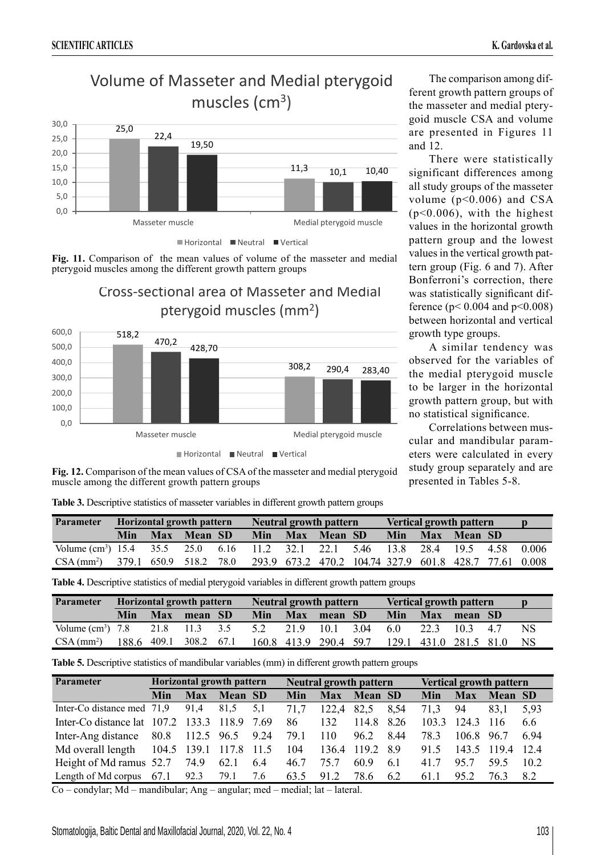0,0 5,0







**Fig. 11.** Comparison of the mean values of volume of the masseter and medial pterygoid muscles among the different growth pattern groups

> Cross-sectional area of Masseter and Medial pterygoid muscles (mm2)



The comparison among different growth pattern groups of the masseter and medial pterygoid muscle CSA and volume are presented in Figures 11 and 12.

There were statistically significant differences among all study groups of the masseter volume ( $p<0.006$ ) and CSA (p<0.006), with the highest values in the horizontal growth pattern group and the lowest values in the vertical growth pattern group (Fig. 6 and 7). After Bonferroni's correction, there was statistically significant difference ( $p < 0.004$  and  $p < 0.008$ ) between horizontal and vertical growth type groups.

A similar tendency was observed for the variables of the medial pterygoid muscle to be larger in the horizontal growth pattern group, but with no statistical significance.

Correlations between muscular and mandibular parameters were calculated in every study group separately and are presented in Tables 5-8.

**Fig. 12.** Comparison of the mean values of CSA of the masseter and medial pterygoid muscle among the different growth pattern groups

**Table 3.** Descriptive statistics of masseter variables in different growth pattern groups

| Parameter                                                                             | Horizontal growth pattern |  |             | <b>Neutral growth pattern</b> |     |  |                                                        | <b>Vertical growth pattern</b> |            |  |                    |  |        |
|---------------------------------------------------------------------------------------|---------------------------|--|-------------|-------------------------------|-----|--|--------------------------------------------------------|--------------------------------|------------|--|--------------------|--|--------|
|                                                                                       | Min                       |  | Max Mean SD |                               | Min |  | Max Mean SD                                            |                                | <b>Min</b> |  | <b>Max Mean SD</b> |  |        |
| Volume (cm <sup>3</sup> ) 15.4 35.5 25.0 6.16 11.2 32.1 22.1 5.46 13.8 28.4 19.5 4.58 |                           |  |             |                               |     |  |                                                        |                                |            |  |                    |  | -0.006 |
| $CSA (mm^2)$ 379.1 650.9 518.2 78.0                                                   |                           |  |             |                               |     |  | 293.9 673.2 470.2 104.74 327.9 601.8 428.7 77.61 0.008 |                                |            |  |                    |  |        |

**Table 4.** Descriptive statistics of medial pterygoid variables in different growth pattern groups

| <b>Parameter</b>                         | Horizontal growth pattern |            |                        | <b>Neutral growth pattern</b> |     |           |                        | <b>Vertical growth pattern</b> |            |      |                        |    |     |
|------------------------------------------|---------------------------|------------|------------------------|-------------------------------|-----|-----------|------------------------|--------------------------------|------------|------|------------------------|----|-----|
|                                          | Min                       | <b>Max</b> | mean SD                |                               | Min |           | Max mean SD            |                                | <b>Min</b> |      | Max mean SD            |    |     |
| Volume $\text{(cm}^3)$ 7.8 21.8 11.3 3.5 |                           |            |                        |                               | 5.2 | 21.9 10.1 |                        | 3.04 6.0                       |            | 22.3 | 10.3                   | 47 | NS  |
| CSA (mm <sup>2</sup> )                   |                           |            | 188.6 409.1 308.2 67.1 |                               |     |           | 160.8 413.9 290.4 59.7 |                                |            |      | 129.1 431.0 281.5 81.0 |    | NS. |

**Table 5.** Descriptive statistics of mandibular variables (mm) in different growth pattern groups

| <b>Parameter</b>                        |      | Horizontal growth pattern |                |      |      |            | <b>Neutral growth pattern</b> |      | <b>Vertical growth pattern</b> |             |         |      |
|-----------------------------------------|------|---------------------------|----------------|------|------|------------|-------------------------------|------|--------------------------------|-------------|---------|------|
|                                         | Min  | <b>Max</b>                | <b>Mean SD</b> |      | Min  | <b>Max</b> | <b>Mean SD</b>                |      | Min                            | <b>Max</b>  | Mean SD |      |
| Inter-Co distance med 71,9              |      | 91.4                      | 81.5           | 5.1  | 71.7 | 122,4      | 82,5                          | 8,54 | 71.3                           | 94          | 83.1    | 5.93 |
| Inter-Co distance lat 107.2 133.3 118.9 |      |                           |                | 7.69 | 86   | 132        | 114.8 8.26                    |      | 103.3                          | 124.3       | -116    | 6.6  |
| Inter-Ang distance                      | 80.8 | 112.5 96.5 9.24           |                |      | 79.1 | 110        | 96.2                          | 844  | 78.3                           | 106.8       | 96.7    | 694  |
| Md overall length                       |      | 104.5 139.1 117.8         |                | 11.5 | 104  | 136.4      | 119.2 8.9                     |      | 91.5                           | 143.5 119.4 |         | -124 |
| Height of Md ramus 52.7                 |      | 74.9                      | 62.1           | 6.4  | 46.7 | 75.7       | 60.9                          | 6.1  | 417                            | 95.7        | 59.5    | 102  |
| Length of Md corpus $67.1$ 92.3         |      |                           | 79.1           | 7.6  | 63.5 | 91.2       | 78.6                          | 6.2  | 61.1                           | 95.2        | 76.3    | 82   |

Co – condylar; Md – mandibular; Ang – angular; med – medial; lat – lateral.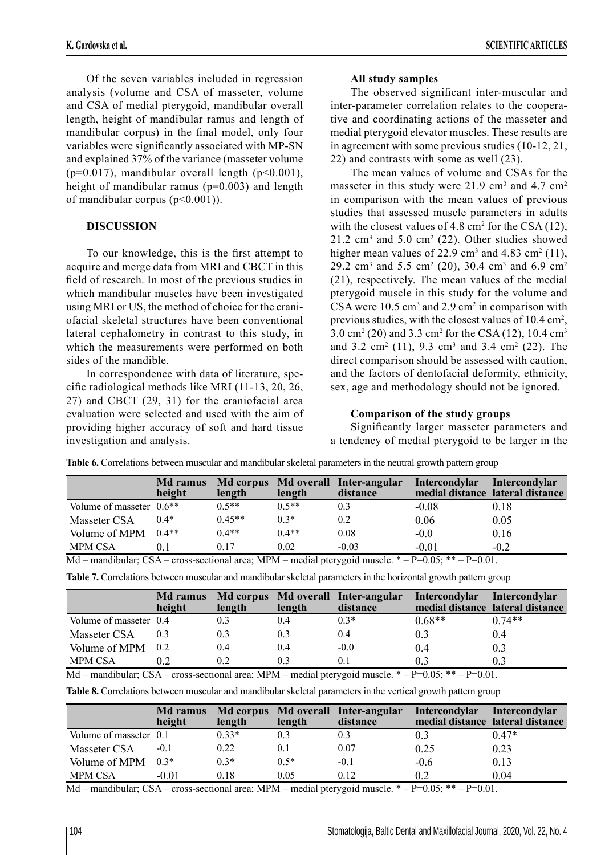Of the seven variables included in regression analysis (volume and CSA of masseter, volume and CSA of medial pterygoid, mandibular overall length, height of mandibular ramus and length of mandibular corpus) in the final model, only four variables were significantly associated with MP-SN and explained 37% of the variance (masseter volume  $(p=0.017)$ , mandibular overall length  $(p<0.001)$ , height of mandibular ramus (p=0.003) and length of mandibular corpus (p<0.001)).

# **DISCUSSION**

To our knowledge, this is the first attempt to acquire and merge data from MRI and CBCT in this field of research. In most of the previous studies in which mandibular muscles have been investigated using MRI or US, the method of choice for the craniofacial skeletal structures have been conventional lateral cephalometry in contrast to this study, in which the measurements were performed on both sides of the mandible.

In correspondence with data of literature, specific radiological methods like MRI  $(11-13, 20, 26,$ 27) and CBCT (29, 31) for the craniofacial area evaluation were selected and used with the aim of providing higher accuracy of soft and hard tissue investigation and analysis.

# **All study samples**

The observed significant inter-muscular and inter-parameter correlation relates to the cooperative and coordinating actions of the masseter and medial pterygoid elevator muscles. These results are in agreement with some previous studies (10-12, 21, 22) and contrasts with some as well (23).

The mean values of volume and CSAs for the masseter in this study were  $21.9 \text{ cm}^3$  and  $4.7 \text{ cm}^2$ in comparison with the mean values of previous studies that assessed muscle parameters in adults with the closest values of  $4.8 \text{ cm}^2$  for the CSA (12),  $21.2 \text{ cm}^3$  and  $5.0 \text{ cm}^2$  (22). Other studies showed higher mean values of 22.9 cm<sup>3</sup> and 4.83 cm<sup>2</sup> (11), 29.2 cm<sup>3</sup> and 5.5 cm<sup>2</sup> (20), 30.4 cm<sup>3</sup> and 6.9 cm<sup>2</sup> (21), respectively. The mean values of the medial pterygoid muscle in this study for the volume and CSA were  $10.5 \text{ cm}^3$  and  $2.9 \text{ cm}^2$  in comparison with previous studies, with the closest values of 10.4 cm<sup>2</sup>, 3.0 cm<sup>2</sup> (20) and 3.3 cm<sup>2</sup> for the CSA (12), 10.4 cm<sup>3</sup> and  $3.2 \text{ cm}^2$  (11),  $9.3 \text{ cm}^3$  and  $3.4 \text{ cm}^2$  (22). The direct comparison should be assessed with caution, and the factors of dentofacial deformity, ethnicity, sex, age and methodology should not be ignored.

# **Comparison of the study groups**

Significantly larger masseter parameters and a tendency of medial pterygoid to be larger in the

**Table 6.** Correlations between muscular and mandibular skeletal parameters in the neutral growth pattern group

|                            | <b>Md</b> ramus<br>height | length   | length  | Md corpus Md overall Inter-angular<br>distance | <b>Intercondylar</b> | Intercondylar<br>medial distance lateral distance |
|----------------------------|---------------------------|----------|---------|------------------------------------------------|----------------------|---------------------------------------------------|
| Volume of masseter $0.6**$ |                           | $0.5**$  | $0.5**$ | 0.3                                            | $-0.08$              | 0.18                                              |
| Masseter CSA               | $0.4*$                    | $0.45**$ | $0.3*$  | 0.2                                            | 0.06                 | 0.05                                              |
| Volume of MPM              | $0.4**$                   | $0.4**$  | $0.4**$ | 0.08                                           | $-0.0$               | 0.16                                              |
| <b>MPM CSA</b>             | 01                        | 0.17     | 0.02    | $-0.03$                                        | $-0.01$              | $-0.2$                                            |

Md – mandibular; CSA – cross-sectional area; MPM – medial pterygoid muscle.  $* - P=0.05$ ;  $* - P=0.01$ .

|  | Table 7. Correlations between muscular and mandibular skeletal parameters in the horizontal growth pattern group |  |  |  |  |  |
|--|------------------------------------------------------------------------------------------------------------------|--|--|--|--|--|
|  |                                                                                                                  |  |  |  |  |  |

|                        | Md ramus<br>height | length | length | Md corpus Md overall Inter-angular<br>distance | Intercondylar | Intercondylar<br>medial distance lateral distance |
|------------------------|--------------------|--------|--------|------------------------------------------------|---------------|---------------------------------------------------|
| Volume of masseter 0.4 |                    |        | 0.4    | $0.3*$                                         | $0.68**$      | $0.74**$                                          |
| Masseter CSA           | 0.3                | 0.3    | 0.3    | 0.4                                            | 0.3           | 0.4                                               |
| Volume of MPM          | 0.2                | 0.4    | 0.4    | $-0.0$                                         | 0.4           | 0.3                                               |
| <b>MPM CSA</b>         | 02                 | 0.2    | 0.3    | 0.1                                            | 03            | 03                                                |

Md – mandibular; CSA – cross-sectional area; MPM – medial pterygoid muscle.  $*$  – P=0.05;  $*$  + – P=0.01. **Table 8.** Correlations between muscular and mandibular skeletal parameters in the vertical growth pattern group

|                        | <b>Md</b> ramus<br>height | length  | length | Md corpus Md overall Inter-angular<br>distance | <b>Intercondylar</b> | <b>Intercondylar</b><br>medial distance lateral distance |
|------------------------|---------------------------|---------|--------|------------------------------------------------|----------------------|----------------------------------------------------------|
| Volume of masseter 0.1 |                           | $0.33*$ | 0.3    | 0.3                                            | 0.3                  | $0.47*$                                                  |
| Masseter CSA           | $-0.1$                    | 0.22    | 0.1    | 0.07                                           | 0.25                 | 0.23                                                     |
| Volume of MPM          | $0.3*$                    | $0.3*$  | $0.5*$ | $-0.1$                                         | $-0.6$               | 0.13                                                     |
| <b>MPM CSA</b>         | $-0.01$                   | 0.18    | 0.05   | 0.12                                           | 02                   | 0.04                                                     |

Md – mandibular; CSA – cross-sectional area; MPM – medial pterygoid muscle.  $* - P=0.05$ ;  $* - P=0.01$ .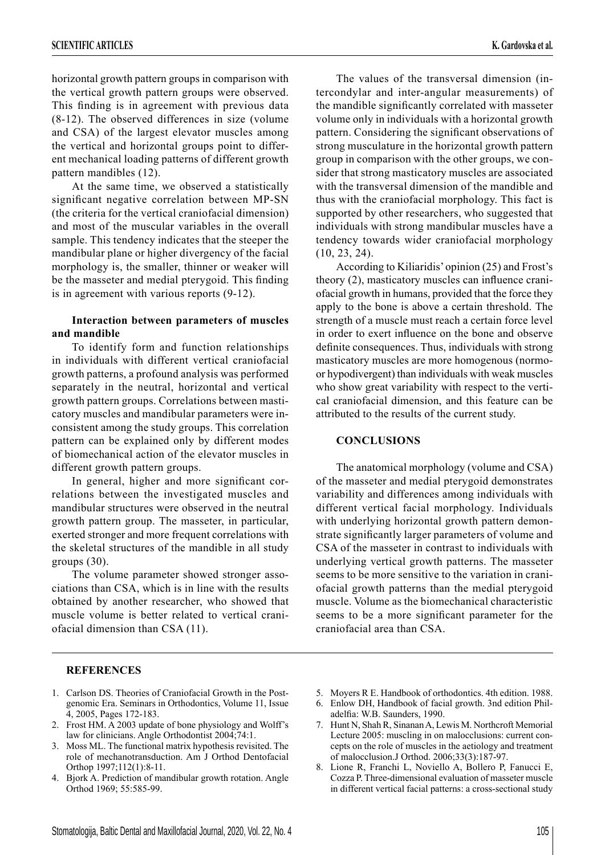horizontal growth pattern groups in comparison with the vertical growth pattern groups were observed. This finding is in agreement with previous data (8-12). The observed differences in size (volume and CSA) of the largest elevator muscles among the vertical and horizontal groups point to different mechanical loading patterns of different growth pattern mandibles (12).

At the same time, we observed a statistically significant negative correlation between MP-SN (the criteria for the vertical craniofacial dimension) and most of the muscular variables in the overall sample. This tendency indicates that the steeper the mandibular plane or higher divergency of the facial morphology is, the smaller, thinner or weaker will be the masseter and medial pterygoid. This finding is in agreement with various reports (9-12).

### **Interaction between parameters of muscles and mandible**

To identify form and function relationships in individuals with different vertical craniofacial growth patterns, a profound analysis was performed separately in the neutral, horizontal and vertical growth pattern groups. Correlations between masticatory muscles and mandibular parameters were inconsistent among the study groups. This correlation pattern can be explained only by different modes of biomechanical action of the elevator muscles in different growth pattern groups.

In general, higher and more significant correlations between the investigated muscles and mandibular structures were observed in the neutral growth pattern group. The masseter, in particular, exerted stronger and more frequent correlations with the skeletal structures of the mandible in all study groups (30).

The volume parameter showed stronger associations than CSA, which is in line with the results obtained by another researcher, who showed that muscle volume is better related to vertical craniofacial dimension than CSA (11).

The values of the transversal dimension (intercondylar and inter-angular measurements) of the mandible significantly correlated with masseter volume only in individuals with a horizontal growth pattern. Considering the significant observations of strong musculature in the horizontal growth pattern group in comparison with the other groups, we consider that strong masticatory muscles are associated with the transversal dimension of the mandible and thus with the craniofacial morphology. This fact is supported by other researchers, who suggested that individuals with strong mandibular muscles have a tendency towards wider craniofacial morphology (10, 23, 24).

According to Kiliaridis' opinion (25) and Frost's theory  $(2)$ , masticatory muscles can influence craniofacial growth in humans, provided that the force they apply to the bone is above a certain threshold. The strength of a muscle must reach a certain force level in order to exert influence on the bone and observe definite consequences. Thus, individuals with strong masticatory muscles are more homogenous (normoor hypodivergent) than individuals with weak muscles who show great variability with respect to the vertical craniofacial dimension, and this feature can be attributed to the results of the current study.

#### **CONCLUSIONS**

The anatomical morphology (volume and CSA) of the masseter and medial pterygoid demonstrates variability and differences among individuals with different vertical facial morphology. Individuals with underlying horizontal growth pattern demonstrate significantly larger parameters of volume and CSA of the masseter in contrast to individuals with underlying vertical growth patterns. The masseter seems to be more sensitive to the variation in craniofacial growth patterns than the medial pterygoid muscle. Volume as the biomechanical characteristic seems to be a more significant parameter for the craniofacial area than CSA.

## **REFERENCES**

- 1. Carlson DS. Theories of Craniofacial Growth in the Postgenomic Era. Seminars in Orthodontics, Volume 11, Issue 4, 2005, Pages 172-183.
- 2. Frost HM. A 2003 update of bone physiology and Wolff's law for clinicians. Angle Orthodontist 2004;74:1.
- 3. Moss ML. The functional matrix hypothesis revisited. The role of mechanotransduction. Am J Orthod Dentofacial Orthop 1997;112(1):8-11.
- 4. Bjork A. Prediction of mandibular growth rotation. Angle Orthod 1969; 55:585-99.
- 5. Moyers R E. Handbook of orthodontics. 4th edition. 1988.
- 6. Enlow DH, Handbook of facial growth. 3nd edition Philadelfia: W.B. Saunders, 1990.
- 7. Hunt N, Shah R, Sinanan A, Lewis M. Northcroft Memorial Lecture 2005: muscling in on malocclusions: current concepts on the role of muscles in the aetiology and treatment of malocclusion.J Orthod. 2006;33(3):187-97.
- 8. Lione R, Franchi L, Noviello A, Bollero P, Fanucci E, Cozza P. Three-dimensional evaluation of masseter muscle in different vertical facial patterns: a cross-sectional study